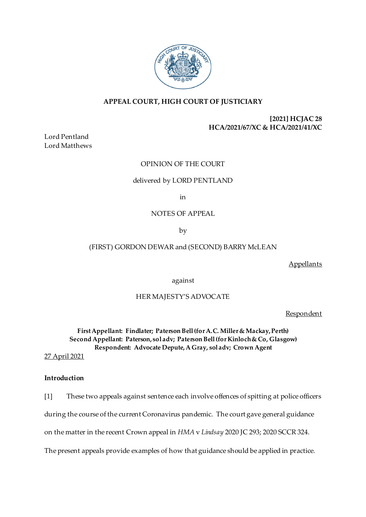

# **APPEAL COURT, HIGH COURT OF JUSTICIARY**

**[2021] HCJAC 28 HCA/2021/67/XC & HCA/2021/41/XC**

Lord Pentland Lord Matthews

# OPINION OF THE COURT

# delivered by LORD PENTLAND

in

# NOTES OF APPEAL

by

# (FIRST) GORDON DEWAR and (SECOND) BARRY McLEAN

**Appellants** 

against

# HER MAJESTY'S ADVOCATE

**Respondent** 

**First Appellant: Findlater; Paterson Bell (for A.C. Miller & Mackay, Perth) Second Appellant: Paterson, sol adv; Paterson Bell(forKinloch & Co, Glasgow) Respondent: Advocate Depute, A Gray, sol adv; Crown Agent**

27 April 2021

### **Introduction**

[1] These two appeals against sentence each involve offences of spitting at police officers during the course of the current Coronavirus pandemic. The court gave general guidance on the matter in the recent Crown appeal in *HMA* v *Lindsay* 2020 JC 293; 2020 SCCR 324. The present appeals provide examples of how that guidance should be applied in practice.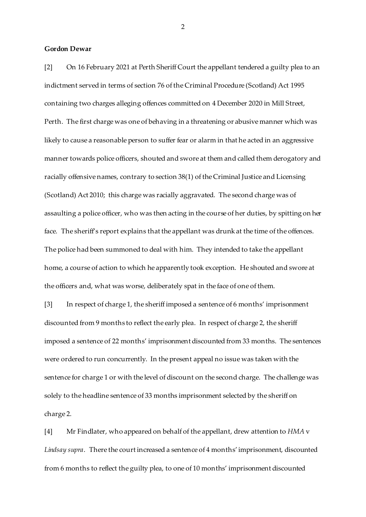### **Gordon Dewar**

[2] On 16 February 2021 at Perth Sheriff Court the appellant tendered a guilty plea to an indictment served in terms of section 76 of the Criminal Procedure (Scotland) Act 1995 containing two charges alleging offences committed on 4 December 2020 in Mill Street, Perth. The first charge was one of behaving in a threatening or abusive manner which was likely to cause a reasonable person to suffer fear or alarm in that he acted in an aggressive manner towards police officers, shouted and swore at them and called them derogatory and racially offensive names, contrary to section 38(1) of the Criminal Justice and Licensing (Scotland) Act 2010; this charge was racially aggravated. The second charge was of assaulting a police officer, who was then acting in the course of her duties, by spitting on her face. The sheriff's report explains that the appellant was drunk at the time of the offences. The police had been summoned to deal with him. They intended to take the appellant home, a course of action to which he apparently took exception. He shouted and swore at the officers and, what was worse, deliberately spat in the face of one of them.

[3] In respect of charge 1, the sheriff imposed a sentence of 6 months' imprisonment discounted from 9 months to reflect the early plea. In respect of charge 2, the sheriff imposed a sentence of 22 months' imprisonment discounted from 33 months. The sentences were ordered to run concurrently. In the present appeal no issue was taken with the sentence for charge 1 or with the level of discount on the second charge. The challenge was solely to the headline sentence of 33 months imprisonment selected by the sheriff on charge 2.

[4] Mr Findlater, who appeared on behalf of the appellant, drew attention to *HMA* v *Lindsay supra*. There the court increased a sentence of 4 months' imprisonment, discounted from 6 months to reflect the guilty plea, to one of 10 months' imprisonment discounted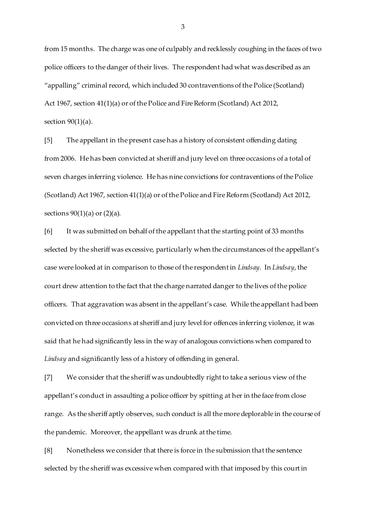from 15 months. The charge was one of culpably and recklessly coughing in the faces of two police officers to the danger of their lives. The respondent had what was described as an "appalling" criminal record, which included 30 contraventions of the Police (Scotland) Act 1967, section 41(1)(a) or of the Police and Fire Reform (Scotland) Act 2012, section  $90(1)(a)$ .

[5] The appellant in the present case has a history of consistent offending dating from 2006. He has been convicted at sheriff and jury level on three occasions of a total of seven charges inferring violence. He has nine convictions for contraventions of the Police (Scotland) Act 1967, section 41(1)(a) or of the Police and Fire Reform (Scotland) Act 2012, sections  $90(1)(a)$  or  $(2)(a)$ .

[6] It was submitted on behalf of the appellant that the starting point of 33 months selected by the sheriff was excessive, particularly when the circumstances of the appellant's case were looked at in comparison to those of the respondent in *Lindsay*. In *Lindsay*, the court drew attention to the fact that the charge narrated danger to the lives of the police officers. That aggravation was absent in the appellant's case. While the appellant had been convicted on three occasions at sheriff and jury level for offences inferring violence, it was said that he had significantly less in the way of analogous convictions when compared to *Lindsay* and significantly less of a history of offending in general.

[7] We consider that the sheriff was undoubtedly right to take a serious view of the appellant's conduct in assaulting a police officer by spitting at her in the face from close range. As the sheriff aptly observes, such conduct is all the more deplorable in the course of the pandemic. Moreover, the appellant was drunk at the time.

[8] Nonetheless we consider that there is force in the submission that the sentence selected by the sheriff was excessive when compared with that imposed by this court in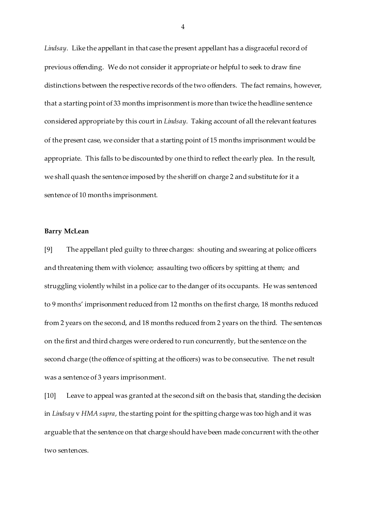*Lindsay*. Like the appellant in that case the present appellant has a disgraceful record of previous offending. We do not consider it appropriate or helpful to seek to draw fine distinctions between the respective records of the two offenders. The fact remains, however, that a starting point of 33 months imprisonment is more than twice the headline sentence considered appropriate by this court in *Lindsay*. Taking account of all the relevant features of the present case, we consider that a starting point of 15 months imprisonment would be appropriate. This falls to be discounted by one third to reflect the early plea. In the result, we shall quash the sentence imposed by the sheriff on charge 2 and substitute for it a sentence of 10 months imprisonment.

### **Barry McLean**

[9] The appellant pled guilty to three charges: shouting and swearing at police officers and threatening them with violence; assaulting two officers by spitting at them; and struggling violently whilst in a police car to the danger of its occupants. He was sentenced to 9 months' imprisonment reduced from 12 months on the first charge, 18 months reduced from 2 years on the second, and 18 months reduced from 2 years on the third. The sentences on the first and third charges were ordered to run concurrently, but the sentence on the second charge (the offence of spitting at the officers) was to be consecutive. The net result was a sentence of 3 years imprisonment.

[10] Leave to appeal was granted at the second sift on the basis that, standing the decision in *Lindsay* v *HMA supra*, the starting point for the spitting charge was too high and it was arguable that the sentence on that charge should have been made concurrent with the other two sentences.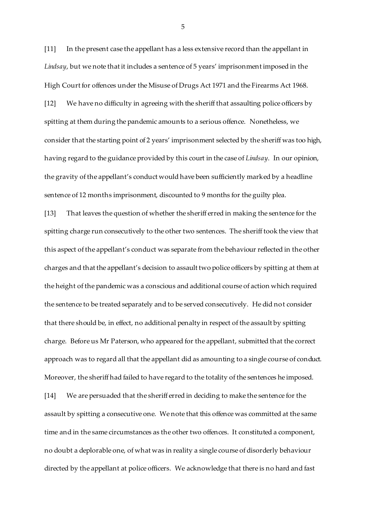[11] In the present case the appellant has a less extensive record than the appellant in *Lindsay*, but we note that it includes a sentence of 5 years' imprisonment imposed in the High Court for offences under the Misuse of Drugs Act 1971 and the Firearms Act 1968.

[12] We have no difficulty in agreeing with the sheriff that assaulting police officers by spitting at them during the pandemic amounts to a serious offence. Nonetheless, we consider that the starting point of 2 years' imprisonment selected by the sheriff was too high, having regard to the guidance provided by this court in the case of *Lindsay*. In our opinion, the gravity of the appellant's conduct would have been sufficiently marked by a headline sentence of 12 months imprisonment, discounted to 9 months for the guilty plea.

[13] That leaves the question of whether the sheriff erred in making the sentence for the spitting charge run consecutively to the other two sentences. The sheriff took the view that this aspect of the appellant's conduct was separate from the behaviour reflected in the other charges and that the appellant's decision to assault two police officers by spitting at them at the height of the pandemic was a conscious and additional course of action which required the sentence to be treated separately and to be served consecutively. He did not consider that there should be, in effect, no additional penalty in respect of the assault by spitting charge. Before us Mr Paterson, who appeared for the appellant, submitted that the correct approach was to regard all that the appellant did as amounting to a single course of conduct. Moreover, the sheriff had failed to have regard to the totality of the sentences he imposed. [14] We are persuaded that the sheriff erred in deciding to make the sentence for the assault by spitting a consecutive one. We note that this offence was committed at the same time and in the same circumstances as the other two offences. It constituted a component, no doubt a deplorable one, of what was in reality a single course of disorderly behaviour directed by the appellant at police officers. We acknowledge that there is no hard and fast